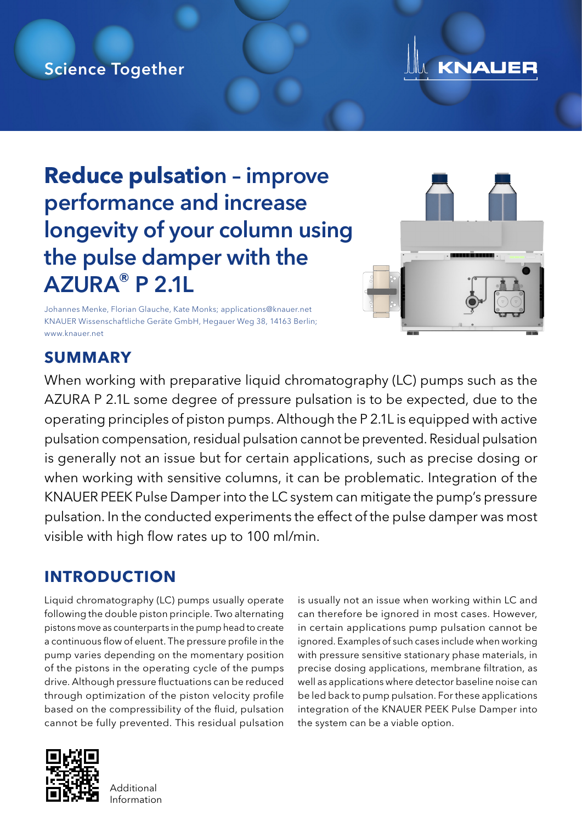# Science Together



# **Reduce pulsatio**n – improve performance and increase longevity of your column using the pulse damper with the AZURA® P 2.1L

Johannes Menke, Florian Glauche, Kate Monks; applications@knauer.net KNAUER Wissenschaftliche Geräte GmbH, Hegauer Weg 38, 14163 Berlin; www.knauer.net



# **SUMMARY**

When working with preparative liquid chromatography (LC) pumps such as the AZURA P 2.1L some degree of pressure pulsation is to be expected, due to the operating principles of piston pumps. Although the P 2.1L is equipped with active pulsation compensation, residual pulsation cannot be prevented. Residual pulsation is generally not an issue but for certain applications, such as precise dosing or when working with sensitive columns, it can be problematic. Integration of the KNAUER PEEK Pulse Damper into the LC system can mitigate the pump's pressure pulsation. In the conducted experiments the effect of the pulse damper was most visible with high flow rates up to 100 ml/min.

# **INTRODUCTION**

Liquid chromatography (LC) pumps usually operate following the double piston principle. Two alternating pistons move as counterparts in the pump head to create a continuous flow of eluent. The pressure profile in the pump varies depending on the momentary position of the pistons in the operating cycle of the pumps drive. Although pressure fluctuations can be reduced through optimization of the piston velocity profile based on the compressibility of the fluid, pulsation cannot be fully prevented. This residual pulsation



is usually not an issue when working within LC and can therefore be ignored in most cases. However, in certain applications pump pulsation cannot be ignored. Examples of such cases include when working with pressure sensitive stationary phase materials, in precise dosing applications, membrane filtration, as well as applications where detector baseline noise can be led back to pump pulsation. For these applications integration of the KNAUER PEEK Pulse Damper into the system can be a viable option.

**Additional** Information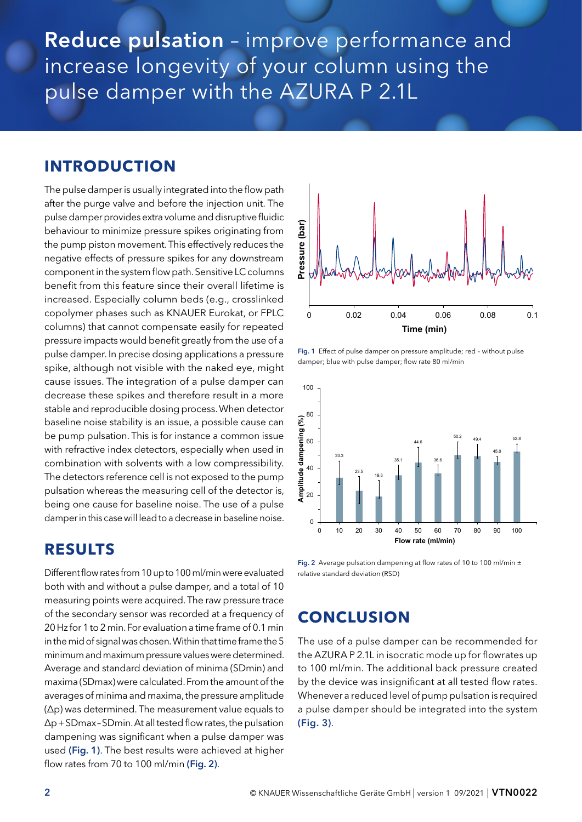Reduce pulsation - improve performance and increase longevity of your column using the pulse damper with the AZURA P 2.1L

#### **INTRODUCTION**

The pulse damper is usually integrated into the flow path after the purge valve and before the injection unit. The pulse damper provides extra volume and disruptive fluidic behaviour to minimize pressure spikes originating from the pump piston movement. This effectively reduces the negative effects of pressure spikes for any downstream component in the system flow path. Sensitive LC columns benefit from this feature since their overall lifetime is increased. Especially column beds (e.g., crosslinked copolymer phases such as KNAUER Eurokat, or FPLC columns) that cannot compensate easily for repeated pressure impacts would benefit greatly from the use of a pulse damper. In precise dosing applications a pressure spike, although not visible with the naked eye, might cause issues. The integration of a pulse damper can decrease these spikes and therefore result in a more stable and reproducible dosing process. When detector baseline noise stability is an issue, a possible cause can be pump pulsation. This is for instance a common issue with refractive index detectors, especially when used in combination with solvents with a low compressibility. The detectors reference cell is not exposed to the pump pulsation whereas the measuring cell of the detector is, being one cause for baseline noise. The use of a pulse damper in this case will lead to a decrease in baseline noise.

#### **RESULTS**

Different flow rates from 10 up to 100 ml/min were evaluated both with and without a pulse damper, and a total of 10 measuring points were acquired. The raw pressure trace of the secondary sensor was recorded at a frequency of 20 Hz for 1 to 2 min. For evaluation a time frame of 0.1 min in the mid of signal was chosen. Within that time frame the 5 minimum and maximum pressure values were determined. Average and standard deviation of minima (SDmin) and maxima (SDmax) were calculated. From the amount of the averages of minima and maxima, the pressure amplitude (∆p) was determined. The measurement value equals to ∆p+SDmax–SDmin. At all tested flow rates, the pulsation dampening was significant when a pulse damper was used (Fig. 1). The best results were achieved at higher flow rates from 70 to 100 ml/min (Fig. 2).



Fig. 1 Effect of pulse damper on pressure amplitude; red - without pulse damper; blue with pulse damper; flow rate 80 ml/min



Fig. 2 Average pulsation dampening at flow rates of 10 to 100 ml/min  $\pm$ relative standard deviation (RSD)

### **CONCLUSION**

The use of a pulse damper can be recommended for the AZURA P 2.1L in isocratic mode up for flowrates up to 100 ml/min. The additional back pressure created by the device was insignificant at all tested flow rates. Whenever a reduced level of pump pulsation is required a pulse damper should be integrated into the system (Fig. 3).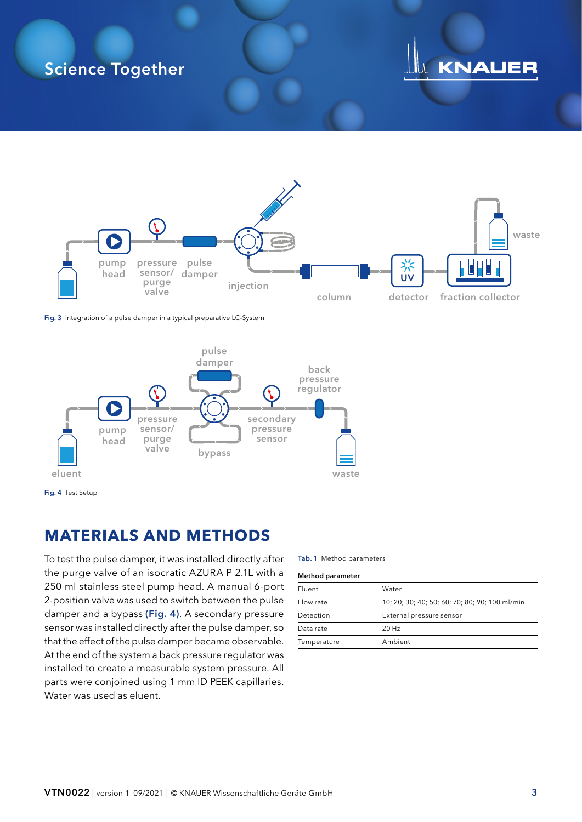# Science Together

# **KNAUER**



Fig. 3 Integration of a pulse damper in a typical preparative LC-System



### **MATERIALS AND METHODS**

To test the pulse damper, it was installed directly after the purge valve of an isocratic AZURA P 2.1L with a 250 ml stainless steel pump head. A manual 6-port 2-position valve was used to switch between the pulse damper and a bypass (Fig. 4). A secondary pressure sensor was installed directly after the pulse damper, so that the effect of the pulse damper became observable. At the end of the system a back pressure regulator was installed to create a measurable system pressure. All parts were conjoined using 1 mm ID PEEK capillaries. Water was used as eluent.

Tab. 1 Method parameters

|  | <b>Method parameter</b> |
|--|-------------------------|
|--|-------------------------|

| Eluent      | Water                                          |  |
|-------------|------------------------------------------------|--|
| Flow rate   | 10; 20; 30; 40; 50; 60; 70; 80; 90; 100 ml/min |  |
| Detection   | External pressure sensor                       |  |
| Data rate   | $20$ Hz                                        |  |
| Temperature | Ambient                                        |  |